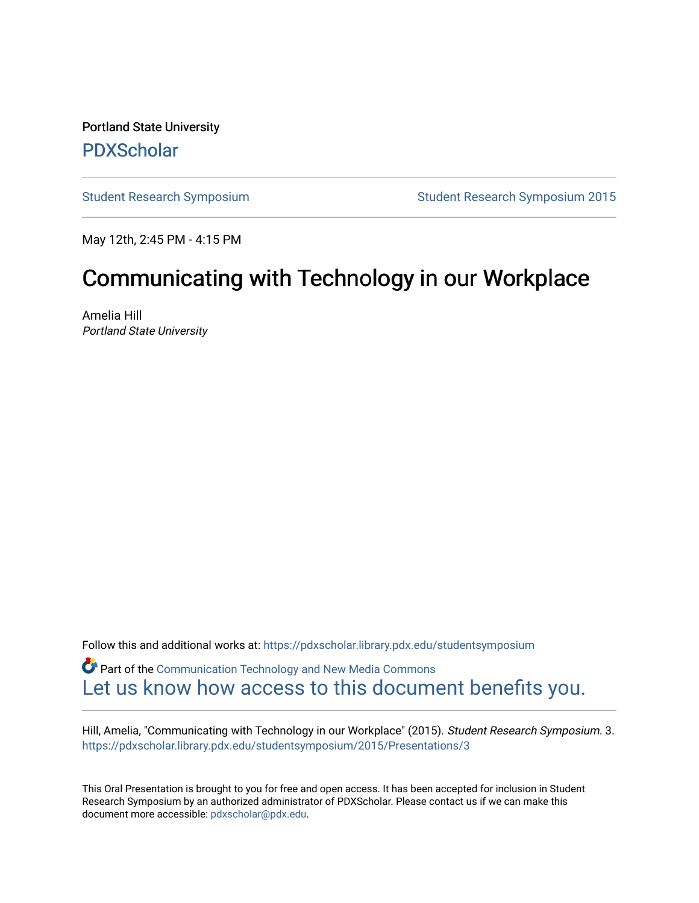Portland State University [PDXScholar](https://pdxscholar.library.pdx.edu/)

[Student Research Symposium](https://pdxscholar.library.pdx.edu/studentsymposium) [Student Research Symposium 2015](https://pdxscholar.library.pdx.edu/studentsymposium/2015) 

May 12th, 2:45 PM - 4:15 PM

# Communicating with Technology in our Workplace

Amelia Hill Portland State University

Follow this and additional works at: [https://pdxscholar.library.pdx.edu/studentsymposium](https://pdxscholar.library.pdx.edu/studentsymposium?utm_source=pdxscholar.library.pdx.edu%2Fstudentsymposium%2F2015%2FPresentations%2F3&utm_medium=PDF&utm_campaign=PDFCoverPages) 

Part of the [Communication Technology and New Media Commons](http://network.bepress.com/hgg/discipline/327?utm_source=pdxscholar.library.pdx.edu%2Fstudentsymposium%2F2015%2FPresentations%2F3&utm_medium=PDF&utm_campaign=PDFCoverPages)  [Let us know how access to this document benefits you.](http://library.pdx.edu/services/pdxscholar-services/pdxscholar-feedback/) 

Hill, Amelia, "Communicating with Technology in our Workplace" (2015). Student Research Symposium. 3. [https://pdxscholar.library.pdx.edu/studentsymposium/2015/Presentations/3](https://pdxscholar.library.pdx.edu/studentsymposium/2015/Presentations/3?utm_source=pdxscholar.library.pdx.edu%2Fstudentsymposium%2F2015%2FPresentations%2F3&utm_medium=PDF&utm_campaign=PDFCoverPages) 

This Oral Presentation is brought to you for free and open access. It has been accepted for inclusion in Student Research Symposium by an authorized administrator of PDXScholar. Please contact us if we can make this document more accessible: [pdxscholar@pdx.edu.](mailto:pdxscholar@pdx.edu)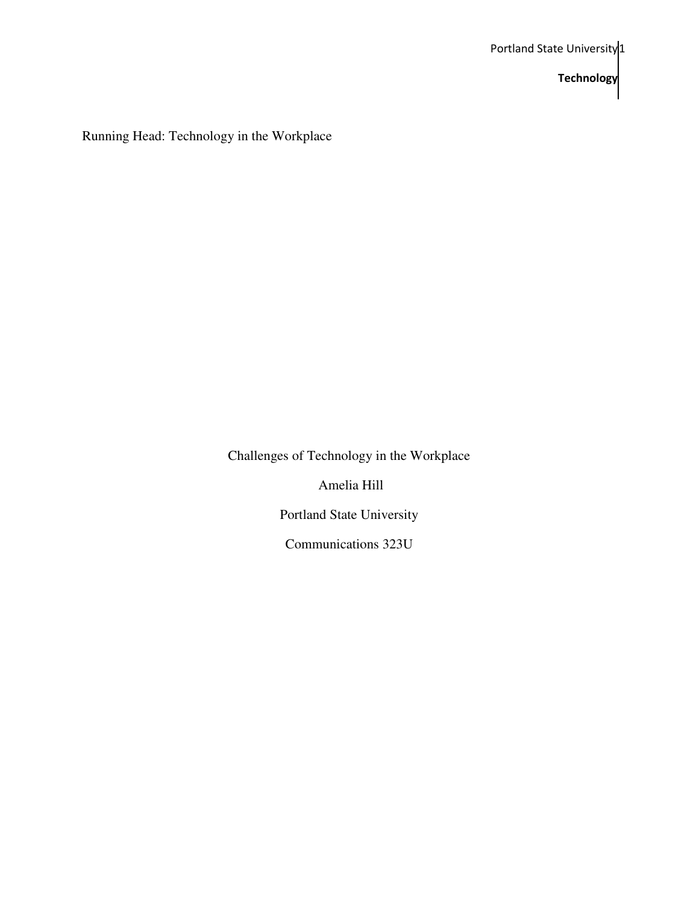Running Head: Technology in the Workplace

Challenges of Technology in the Workplace

Amelia Hill

Portland State University

Communications 323U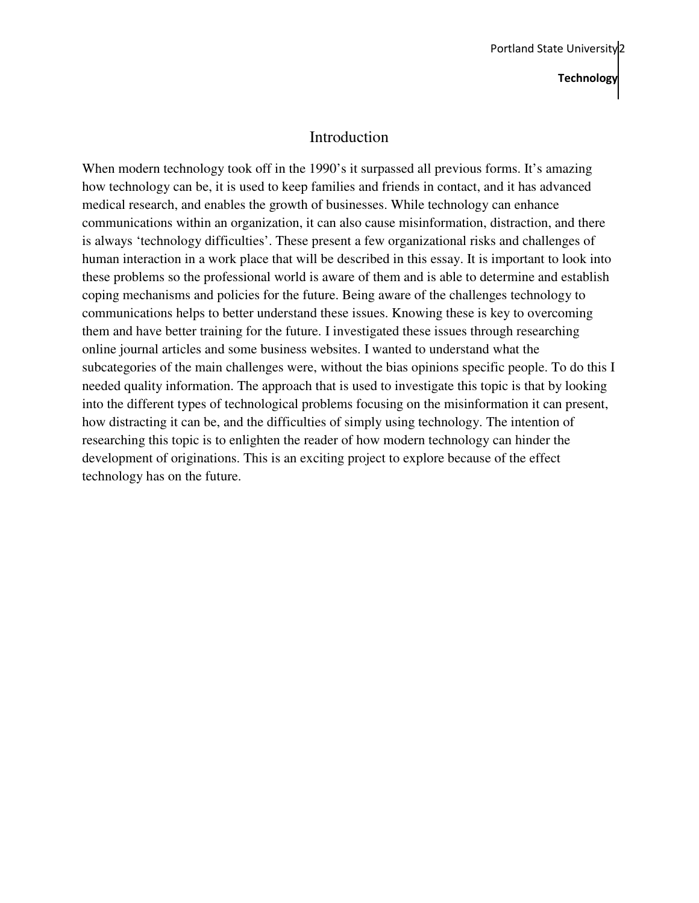# Introduction

When modern technology took off in the 1990's it surpassed all previous forms. It's amazing how technology can be, it is used to keep families and friends in contact, and it has advanced medical research, and enables the growth of businesses. While technology can enhance communications within an organization, it can also cause misinformation, distraction, and there is always 'technology difficulties'. These present a few organizational risks and challenges of human interaction in a work place that will be described in this essay. It is important to look into these problems so the professional world is aware of them and is able to determine and establish coping mechanisms and policies for the future. Being aware of the challenges technology to communications helps to better understand these issues. Knowing these is key to overcoming them and have better training for the future. I investigated these issues through researching online journal articles and some business websites. I wanted to understand what the subcategories of the main challenges were, without the bias opinions specific people. To do this I needed quality information. The approach that is used to investigate this topic is that by looking into the different types of technological problems focusing on the misinformation it can present, how distracting it can be, and the difficulties of simply using technology. The intention of researching this topic is to enlighten the reader of how modern technology can hinder the development of originations. This is an exciting project to explore because of the effect technology has on the future.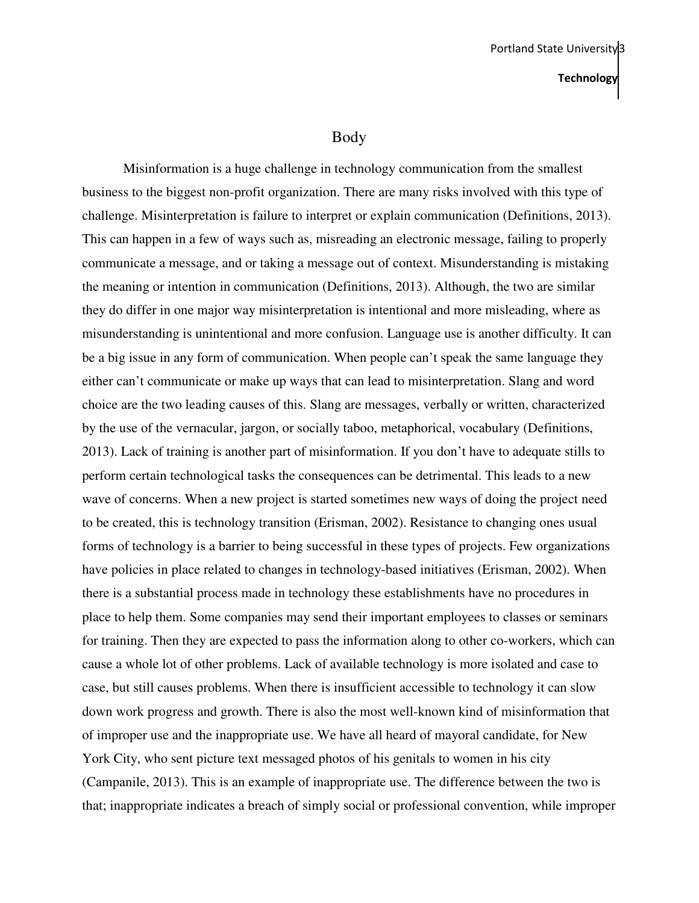#### Body

Misinformation is a huge challenge in technology communication from the smallest business to the biggest non-profit organization. There are many risks involved with this type of challenge. Misinterpretation is failure to interpret or explain communication (Definitions, 2013). This can happen in a few of ways such as, misreading an electronic message, failing to properly communicate a message, and or taking a message out of context. Misunderstanding is mistaking the meaning or intention in communication (Definitions, 2013). Although, the two are similar they do differ in one major way misinterpretation is intentional and more misleading, where as misunderstanding is unintentional and more confusion. Language use is another difficulty. It can be a big issue in any form of communication. When people can't speak the same language they either can't communicate or make up ways that can lead to misinterpretation. Slang and word choice are the two leading causes of this. Slang are messages, verbally or written, characterized by the use of the vernacular, jargon, or socially taboo, metaphorical, vocabulary (Definitions, 2013). Lack of training is another part of misinformation. If you don't have to adequate stills to perform certain technological tasks the consequences can be detrimental. This leads to a new wave of concerns. When a new project is started sometimes new ways of doing the project need to be created, this is technology transition (Erisman, 2002). Resistance to changing ones usual forms of technology is a barrier to being successful in these types of projects. Few organizations have policies in place related to changes in technology-based initiatives (Erisman, 2002). When there is a substantial process made in technology these establishments have no procedures in place to help them. Some companies may send their important employees to classes or seminars for training. Then they are expected to pass the information along to other co-workers, which can cause a whole lot of other problems. Lack of available technology is more isolated and case to case, but still causes problems. When there is insufficient accessible to technology it can slow down work progress and growth. There is also the most well-known kind of misinformation that of improper use and the inappropriate use. We have all heard of mayoral candidate, for New York City, who sent picture text messaged photos of his genitals to women in his city (Campanile, 2013). This is an example of inappropriate use. The difference between the two is that; inappropriate indicates a breach of simply social or professional convention, while improper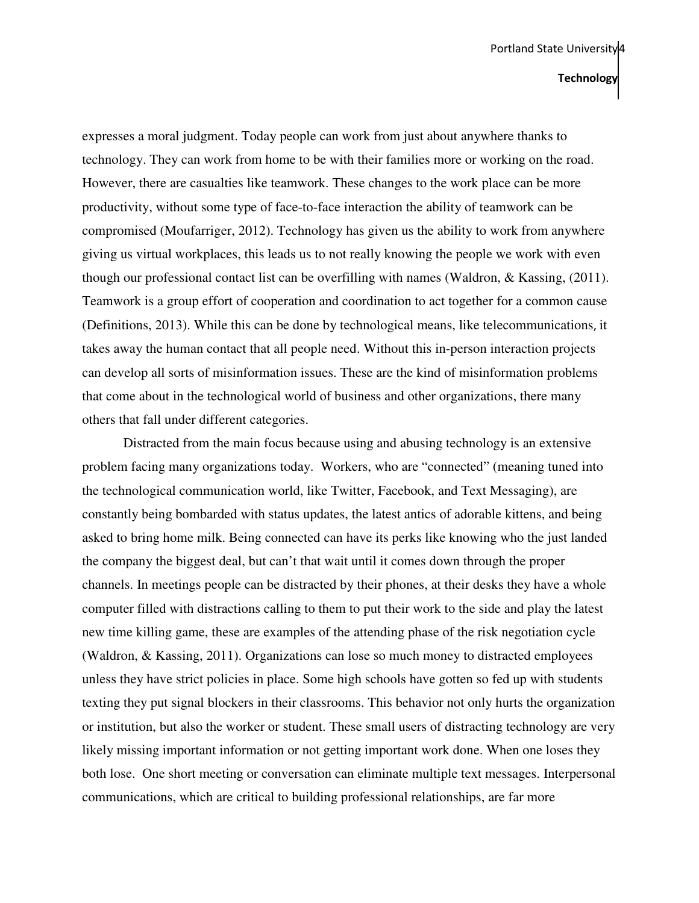expresses a moral judgment. Today people can work from just about anywhere thanks to technology. They can work from home to be with their families more or working on the road. However, there are casualties like teamwork. These changes to the work place can be more productivity, without some type of face-to-face interaction the ability of teamwork can be compromised (Moufarriger, 2012). Technology has given us the ability to work from anywhere giving us virtual workplaces, this leads us to not really knowing the people we work with even though our professional contact list can be overfilling with names (Waldron, & Kassing, (2011). Teamwork is a group effort of cooperation and coordination to act together for a common cause (Definitions, 2013). While this can be done by technological means, like telecommunications, it takes away the human contact that all people need. Without this in-person interaction projects can develop all sorts of misinformation issues. These are the kind of misinformation problems that come about in the technological world of business and other organizations, there many others that fall under different categories.

Distracted from the main focus because using and abusing technology is an extensive problem facing many organizations today. Workers, who are "connected" (meaning tuned into the technological communication world, like Twitter, Facebook, and Text Messaging), are constantly being bombarded with status updates, the latest antics of adorable kittens, and being asked to bring home milk. Being connected can have its perks like knowing who the just landed the company the biggest deal, but can't that wait until it comes down through the proper channels. In meetings people can be distracted by their phones, at their desks they have a whole computer filled with distractions calling to them to put their work to the side and play the latest new time killing game, these are examples of the attending phase of the risk negotiation cycle (Waldron, & Kassing, 2011). Organizations can lose so much money to distracted employees unless they have strict policies in place. Some high schools have gotten so fed up with students texting they put signal blockers in their classrooms. This behavior not only hurts the organization or institution, but also the worker or student. These small users of distracting technology are very likely missing important information or not getting important work done. When one loses they both lose. One short meeting or conversation can eliminate multiple text messages. Interpersonal communications, which are critical to building professional relationships, are far more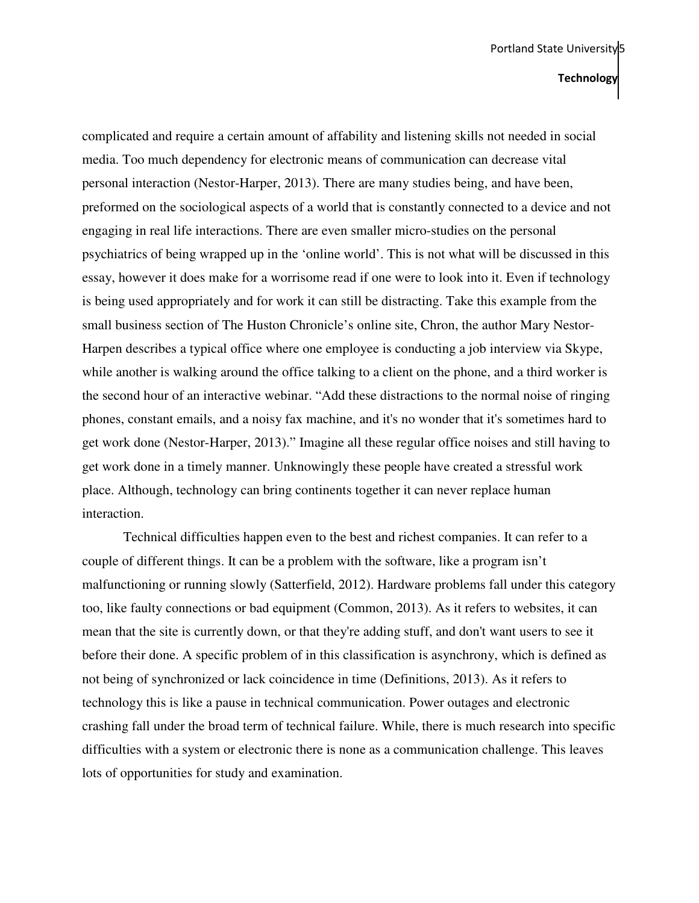complicated and require a certain amount of affability and listening skills not needed in social media. Too much dependency for electronic means of communication can decrease vital personal interaction (Nestor-Harper, 2013). There are many studies being, and have been, preformed on the sociological aspects of a world that is constantly connected to a device and not engaging in real life interactions. There are even smaller micro-studies on the personal psychiatrics of being wrapped up in the 'online world'. This is not what will be discussed in this essay, however it does make for a worrisome read if one were to look into it. Even if technology is being used appropriately and for work it can still be distracting. Take this example from the small business section of The Huston Chronicle's online site, Chron, the author Mary Nestor-Harpen describes a typical office where one employee is conducting a job interview via Skype, while another is walking around the office talking to a client on the phone, and a third worker is the second hour of an interactive webinar. "Add these distractions to the normal noise of ringing phones, constant emails, and a noisy fax machine, and it's no wonder that it's sometimes hard to get work done (Nestor-Harper, 2013)." Imagine all these regular office noises and still having to get work done in a timely manner. Unknowingly these people have created a stressful work place. Although, technology can bring continents together it can never replace human interaction.

Technical difficulties happen even to the best and richest companies. It can refer to a couple of different things. It can be a problem with the software, like a program isn't malfunctioning or running slowly (Satterfield, 2012). Hardware problems fall under this category too, like faulty connections or bad equipment (Common, 2013). As it refers to websites, it can mean that the site is currently down, or that they're adding stuff, and don't want users to see it before their done. A specific problem of in this classification is asynchrony, which is defined as not being of synchronized or lack coincidence in time (Definitions, 2013). As it refers to technology this is like a pause in technical communication. Power outages and electronic crashing fall under the broad term of technical failure. While, there is much research into specific difficulties with a system or electronic there is none as a communication challenge. This leaves lots of opportunities for study and examination.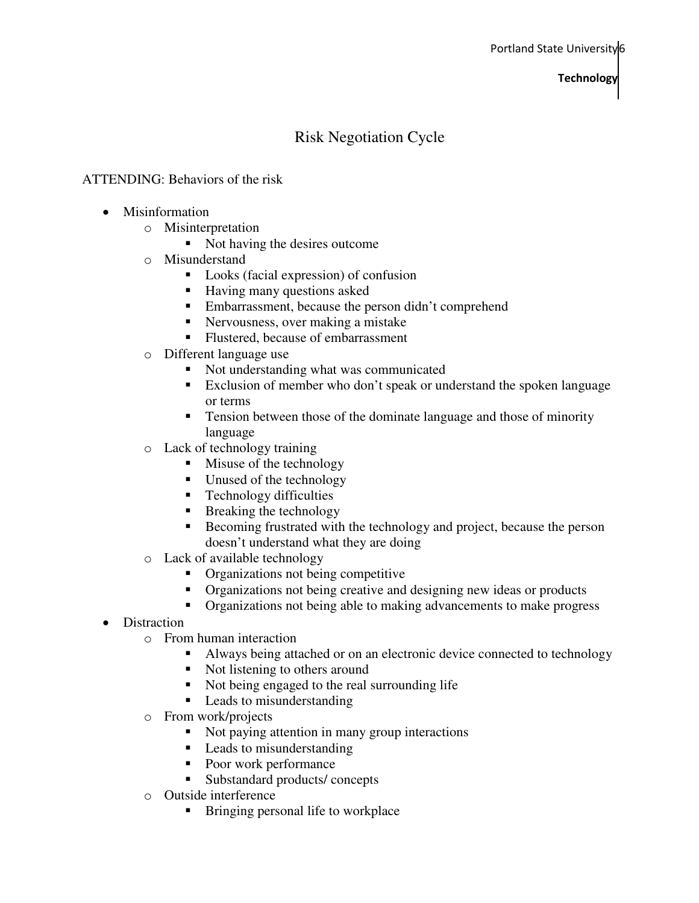# Risk Negotiation Cycle

#### ATTENDING: Behaviors of the risk

- Misinformation
	- o Misinterpretation
		- Not having the desires outcome
	- o Misunderstand
		- Looks (facial expression) of confusion
		- Having many questions asked
		- Embarrassment, because the person didn't comprehend
		- Nervousness, over making a mistake
		- Flustered, because of embarrassment
	- o Different language use
		- Not understanding what was communicated
		- Exclusion of member who don't speak or understand the spoken language or terms
		- **Tension between those of the dominate language and those of minority** language
	- o Lack of technology training
		- $\blacksquare$  Misuse of the technology
		- Unused of the technology
		- $\blacksquare$  Technology difficulties
		- $\blacksquare$  Breaking the technology
		- Becoming frustrated with the technology and project, because the person doesn't understand what they are doing
	- o Lack of available technology
		- Organizations not being competitive
		- Organizations not being creative and designing new ideas or products
		- Organizations not being able to making advancements to make progress
- Distraction
	- o From human interaction
		- Always being attached or on an electronic device connected to technology
		- Not listening to others around
		- Not being engaged to the real surrounding life
		- Leads to misunderstanding
	- o From work/projects
		- Not paying attention in many group interactions
		- **Leads to misunderstanding**
		- Poor work performance
		- Substandard products/ concepts
	- o Outside interference
		- **Bringing personal life to workplace**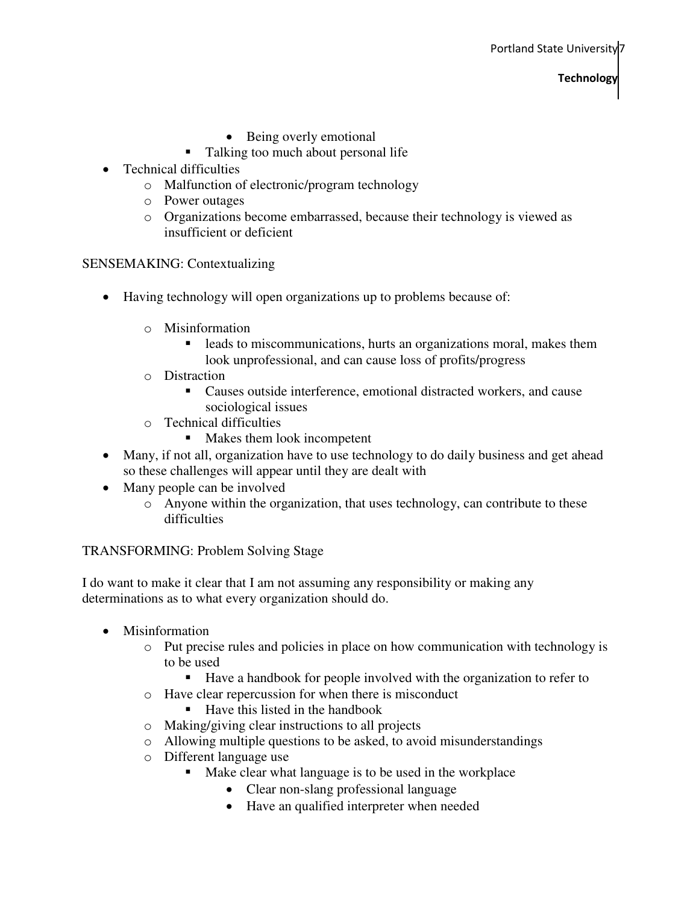- Being overly emotional
- Talking too much about personal life
- Technical difficulties
	- o Malfunction of electronic/program technology
	- o Power outages
	- o Organizations become embarrassed, because their technology is viewed as insufficient or deficient

SENSEMAKING: Contextualizing

- Having technology will open organizations up to problems because of:
	- o Misinformation
		- **leads to miscommunications, hurts an organizations moral, makes them** look unprofessional, and can cause loss of profits/progress
	- o Distraction
		- Causes outside interference, emotional distracted workers, and cause sociological issues
	- o Technical difficulties
		- **Makes them look incompetent**
- Many, if not all, organization have to use technology to do daily business and get ahead so these challenges will appear until they are dealt with
- Many people can be involved
	- o Anyone within the organization, that uses technology, can contribute to these difficulties

#### TRANSFORMING: Problem Solving Stage

I do want to make it clear that I am not assuming any responsibility or making any determinations as to what every organization should do.

- Misinformation
	- o Put precise rules and policies in place on how communication with technology is to be used
		- Have a handbook for people involved with the organization to refer to
	- o Have clear repercussion for when there is misconduct
		- Have this listed in the handbook
	- o Making/giving clear instructions to all projects
	- o Allowing multiple questions to be asked, to avoid misunderstandings
	- o Different language use
		- Make clear what language is to be used in the workplace
			- Clear non-slang professional language
			- Have an qualified interpreter when needed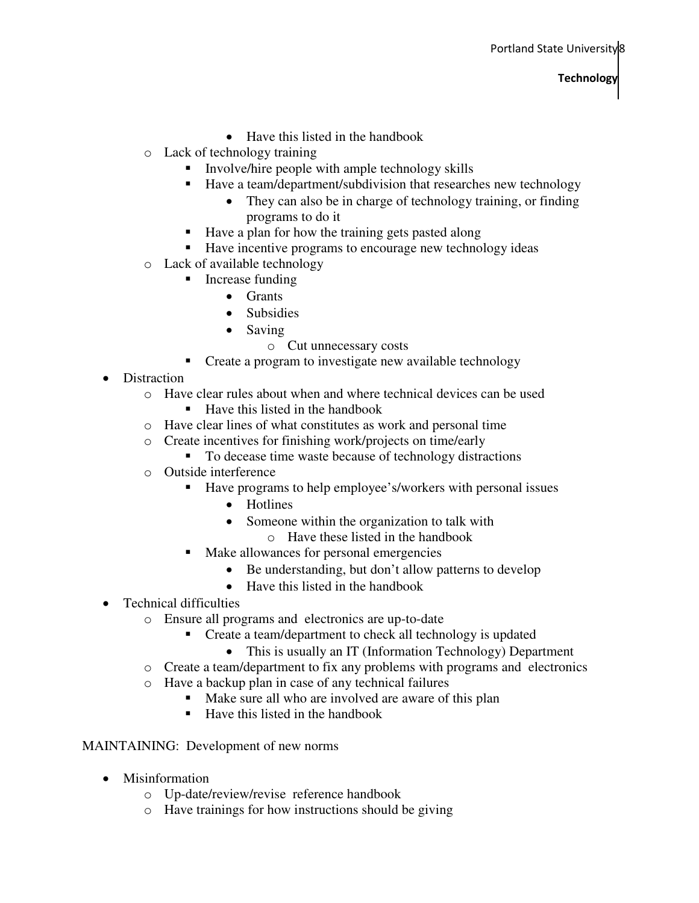- Have this listed in the handbook
- o Lack of technology training
	- **IDED** Involve/hire people with ample technology skills
		- Have a team/department/subdivision that researches new technology
			- They can also be in charge of technology training, or finding programs to do it
	- Have a plan for how the training gets pasted along
	- Have incentive programs to encourage new technology ideas
- o Lack of available technology
	- $\blacksquare$  Increase funding
		- Grants
		- Subsidies
		- Saving
			- o Cut unnecessary costs
	- **Create a program to investigate new available technology**
- Distraction
	- o Have clear rules about when and where technical devices can be used
		- $\blacksquare$  Have this listed in the handbook
	- o Have clear lines of what constitutes as work and personal time
	- o Create incentives for finishing work/projects on time/early
		- To decease time waste because of technology distractions
	- o Outside interference
		- Have programs to help employee's/workers with personal issues
			- Hotlines
			- Someone within the organization to talk with
				- o Have these listed in the handbook
		- Make allowances for personal emergencies
			- Be understanding, but don't allow patterns to develop
			- Have this listed in the handbook
- Technical difficulties
	- o Ensure all programs and electronics are up-to-date
		- Create a team/department to check all technology is updated
			- This is usually an IT (Information Technology) Department
	- o Create a team/department to fix any problems with programs and electronics
	- o Have a backup plan in case of any technical failures
		- Make sure all who are involved are aware of this plan
		- $\blacksquare$  Have this listed in the handbook

#### MAINTAINING: Development of new norms

- Misinformation
	- o Up-date/review/revise reference handbook
	- o Have trainings for how instructions should be giving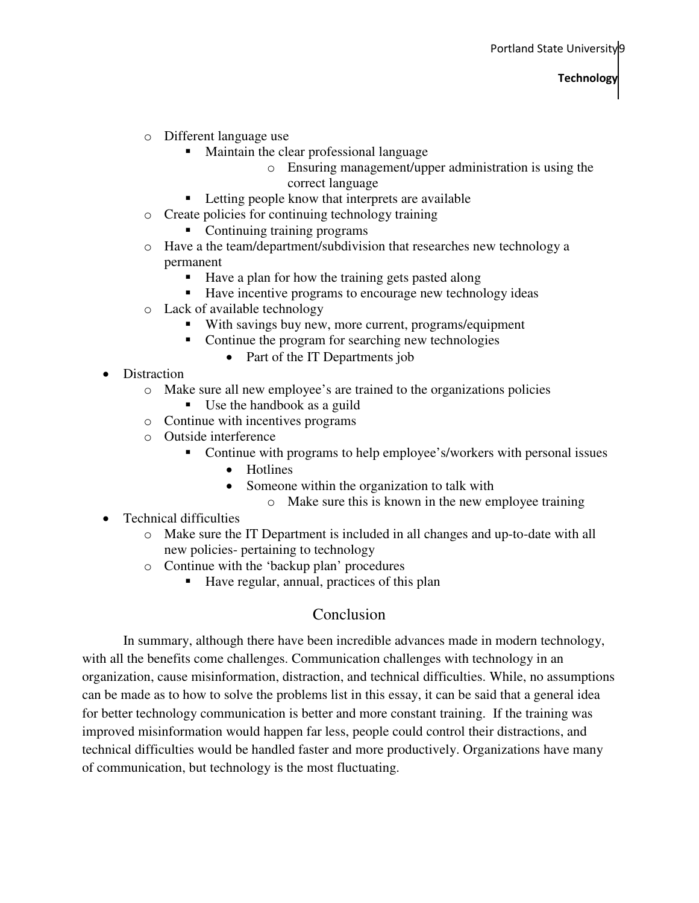- o Different language use
	- Maintain the clear professional language
		- o Ensuring management/upper administration is using the correct language
	- **Letting people know that interprets are available**
- o Create policies for continuing technology training
	- Continuing training programs
- o Have a the team/department/subdivision that researches new technology a permanent
	- Have a plan for how the training gets pasted along
	- Have incentive programs to encourage new technology ideas
- o Lack of available technology
	- With savings buy new, more current, programs/equipment
	- Continue the program for searching new technologies
		- Part of the IT Departments job
- Distraction
	- o Make sure all new employee's are trained to the organizations policies
		- Use the handbook as a guild
	- o Continue with incentives programs
	- o Outside interference
		- Continue with programs to help employee's/workers with personal issues
			- Hotlines
			- Someone within the organization to talk with
				- o Make sure this is known in the new employee training
- Technical difficulties
	- o Make sure the IT Department is included in all changes and up-to-date with all new policies- pertaining to technology
	- o Continue with the 'backup plan' procedures
		- Have regular, annual, practices of this plan

# Conclusion

In summary, although there have been incredible advances made in modern technology, with all the benefits come challenges. Communication challenges with technology in an organization, cause misinformation, distraction, and technical difficulties. While, no assumptions can be made as to how to solve the problems list in this essay, it can be said that a general idea for better technology communication is better and more constant training. If the training was improved misinformation would happen far less, people could control their distractions, and technical difficulties would be handled faster and more productively. Organizations have many of communication, but technology is the most fluctuating.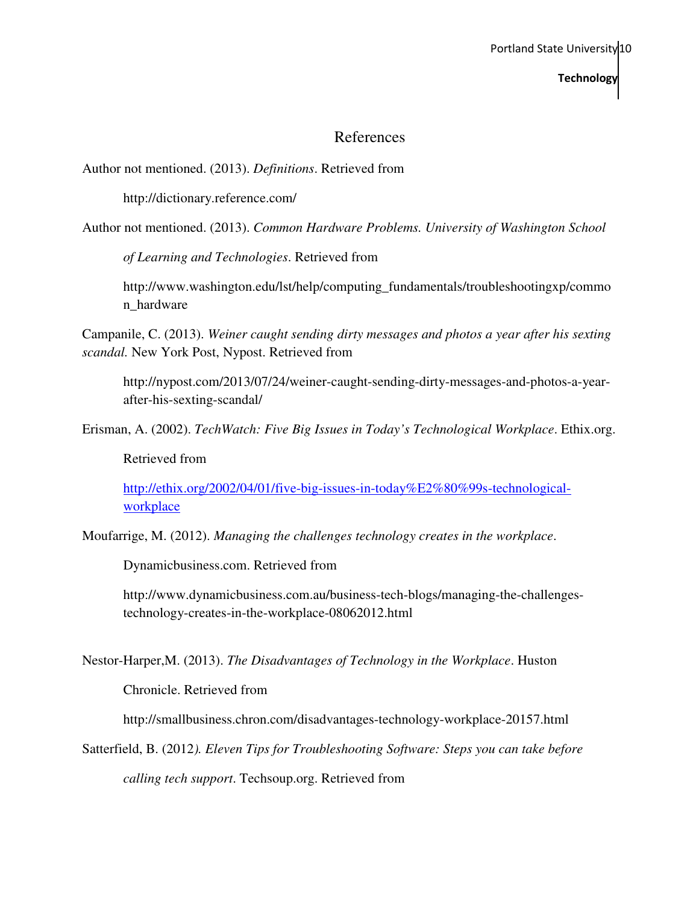## References

Author not mentioned. (2013). *Definitions*. Retrieved from

http://dictionary.reference.com/

Author not mentioned. (2013). *Common Hardware Problems. University of Washington School* 

*of Learning and Technologies*. Retrieved from

http://www.washington.edu/lst/help/computing\_fundamentals/troubleshootingxp/commo n\_hardware

Campanile, C. (2013). *Weiner caught sending dirty messages and photos a year after his sexting scandal.* New York Post, Nypost. Retrieved from

http://nypost.com/2013/07/24/weiner-caught-sending-dirty-messages-and-photos-a-yearafter-his-sexting-scandal/

Erisman, A. (2002). *TechWatch: Five Big Issues in Today's Technological Workplace*. Ethix.org.

Retrieved from

http://ethix.org/2002/04/01/five-big-issues-in-today%E2%80%99s-technologicalworkplace

Moufarrige, M. (2012). *Managing the challenges technology creates in the workplace*.

Dynamicbusiness.com. Retrieved from

http://www.dynamicbusiness.com.au/business-tech-blogs/managing-the-challengestechnology-creates-in-the-workplace-08062012.html

Nestor-Harper,M. (2013). *The Disadvantages of Technology in the Workplace*. Huston

Chronicle. Retrieved from

http://smallbusiness.chron.com/disadvantages-technology-workplace-20157.html

Satterfield, B. (2012*). Eleven Tips for Troubleshooting Software: Steps you can take before* 

*calling tech support*. Techsoup.org. Retrieved from